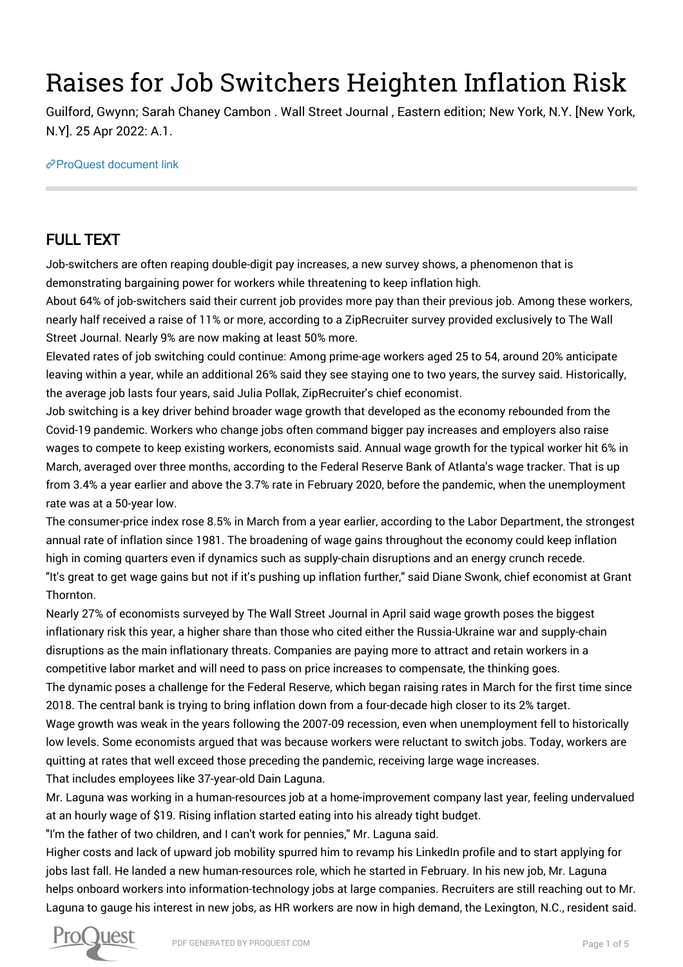## Raises for Job Switchers Heighten Inflation Risk

Guilford, Gwynn; Sarah Chaney Cambon . Wall Street Journal , Eastern edition; New York, N.Y. [New York, N.Y]. 25 Apr 2022: A.1.

[ProQuest document link](https://www.proquest.com/newspapers/raises-job-switchers-heighten-inflation-risk/docview/2653983859/se-2?accountid=44910)

## FULL TEXT

Job-switchers are often reaping double-digit pay increases, a new survey shows, a phenomenon that is demonstrating bargaining power for workers while threatening to keep inflation high.

About 64% of job-switchers said their current job provides more pay than their previous job. Among these workers, nearly half received a raise of 11% or more, according to a ZipRecruiter survey provided exclusively to The Wall Street Journal. Nearly 9% are now making at least 50% more.

Elevated rates of job switching could continue: Among prime-age workers aged 25 to 54, around 20% anticipate leaving within a year, while an additional 26% said they see staying one to two years, the survey said. Historically, the average job lasts four years, said Julia Pollak, ZipRecruiter's chief economist.

Job switching is a key driver behind broader wage growth that developed as the economy rebounded from the Covid-19 pandemic. Workers who change jobs often command bigger pay increases and employers also raise wages to compete to keep existing workers, economists said. Annual wage growth for the typical worker hit 6% in March, averaged over three months, according to the Federal Reserve Bank of Atlanta's wage tracker. That is up from 3.4% a year earlier and above the 3.7% rate in February 2020, before the pandemic, when the unemployment rate was at a 50-year low.

The consumer-price index rose 8.5% in March from a year earlier, according to the Labor Department, the strongest annual rate of inflation since 1981. The broadening of wage gains throughout the economy could keep inflation high in coming quarters even if dynamics such as supply-chain disruptions and an energy crunch recede. "It's great to get wage gains but not if it's pushing up inflation further," said Diane Swonk, chief economist at Grant Thornton.

Nearly 27% of economists surveyed by The Wall Street Journal in April said wage growth poses the biggest inflationary risk this year, a higher share than those who cited either the Russia-Ukraine war and supply-chain disruptions as the main inflationary threats. Companies are paying more to attract and retain workers in a competitive labor market and will need to pass on price increases to compensate, the thinking goes. The dynamic poses a challenge for the Federal Reserve, which began raising rates in March for the first time since 2018. The central bank is trying to bring inflation down from a four-decade high closer to its 2% target.

Wage growth was weak in the years following the 2007-09 recession, even when unemployment fell to historically low levels. Some economists argued that was because workers were reluctant to switch jobs. Today, workers are quitting at rates that well exceed those preceding the pandemic, receiving large wage increases.

That includes employees like 37-year-old Dain Laguna.

Mr. Laguna was working in a human-resources job at a home-improvement company last year, feeling undervalued at an hourly wage of \$19. Rising inflation started eating into his already tight budget.

"I'm the father of two children, and I can't work for pennies," Mr. Laguna said.

Higher costs and lack of upward job mobility spurred him to revamp his LinkedIn profile and to start applying for jobs last fall. He landed a new human-resources role, which he started in February. In his new job, Mr. Laguna helps onboard workers into information-technology jobs at large companies. Recruiters are still reaching out to Mr. Laguna to gauge his interest in new jobs, as HR workers are now in high demand, the Lexington, N.C., resident said.

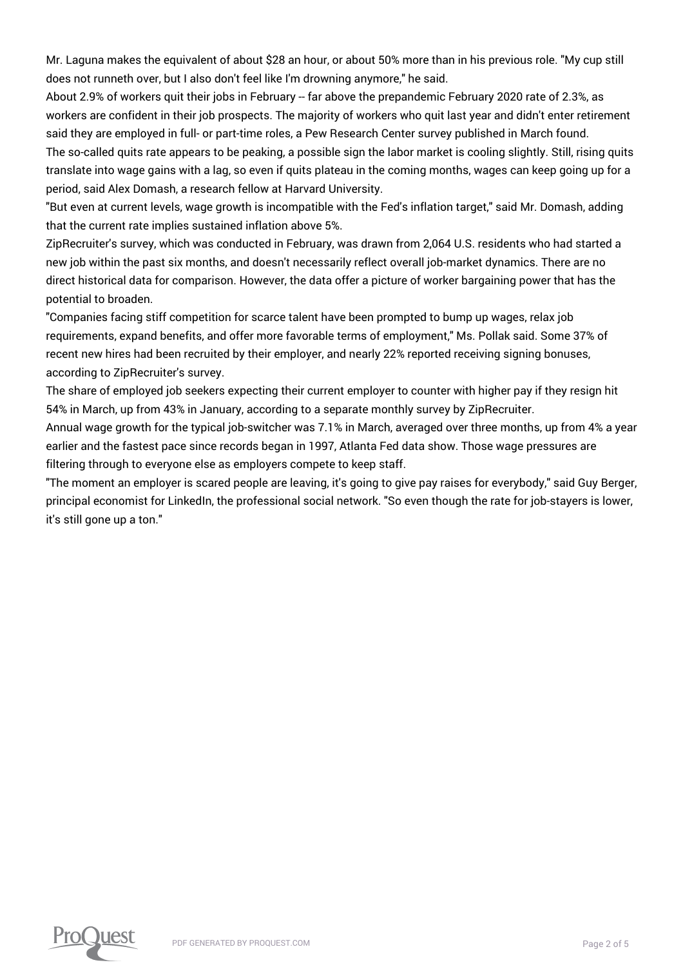Mr. Laguna makes the equivalent of about \$28 an hour, or about 50% more than in his previous role. "My cup still does not runneth over, but I also don't feel like I'm drowning anymore," he said.

About 2.9% of workers quit their jobs in February -- far above the prepandemic February 2020 rate of 2.3%, as workers are confident in their job prospects. The majority of workers who quit last year and didn't enter retirement said they are employed in full- or part-time roles, a Pew Research Center survey published in March found.

The so-called quits rate appears to be peaking, a possible sign the labor market is cooling slightly. Still, rising quits translate into wage gains with a lag, so even if quits plateau in the coming months, wages can keep going up for a period, said Alex Domash, a research fellow at Harvard University.

"But even at current levels, wage growth is incompatible with the Fed's inflation target," said Mr. Domash, adding that the current rate implies sustained inflation above 5%.

ZipRecruiter's survey, which was conducted in February, was drawn from 2,064 U.S. residents who had started a new job within the past six months, and doesn't necessarily reflect overall job-market dynamics. There are no direct historical data for comparison. However, the data offer a picture of worker bargaining power that has the potential to broaden.

"Companies facing stiff competition for scarce talent have been prompted to bump up wages, relax job requirements, expand benefits, and offer more favorable terms of employment," Ms. Pollak said. Some 37% of recent new hires had been recruited by their employer, and nearly 22% reported receiving signing bonuses, according to ZipRecruiter's survey.

The share of employed job seekers expecting their current employer to counter with higher pay if they resign hit 54% in March, up from 43% in January, according to a separate monthly survey by ZipRecruiter.

Annual wage growth for the typical job-switcher was 7.1% in March, averaged over three months, up from 4% a year earlier and the fastest pace since records began in 1997, Atlanta Fed data show. Those wage pressures are filtering through to everyone else as employers compete to keep staff.

"The moment an employer is scared people are leaving, it's going to give pay raises for everybody," said Guy Berger, principal economist for LinkedIn, the professional social network. "So even though the rate for job-stayers is lower, it's still gone up a ton."

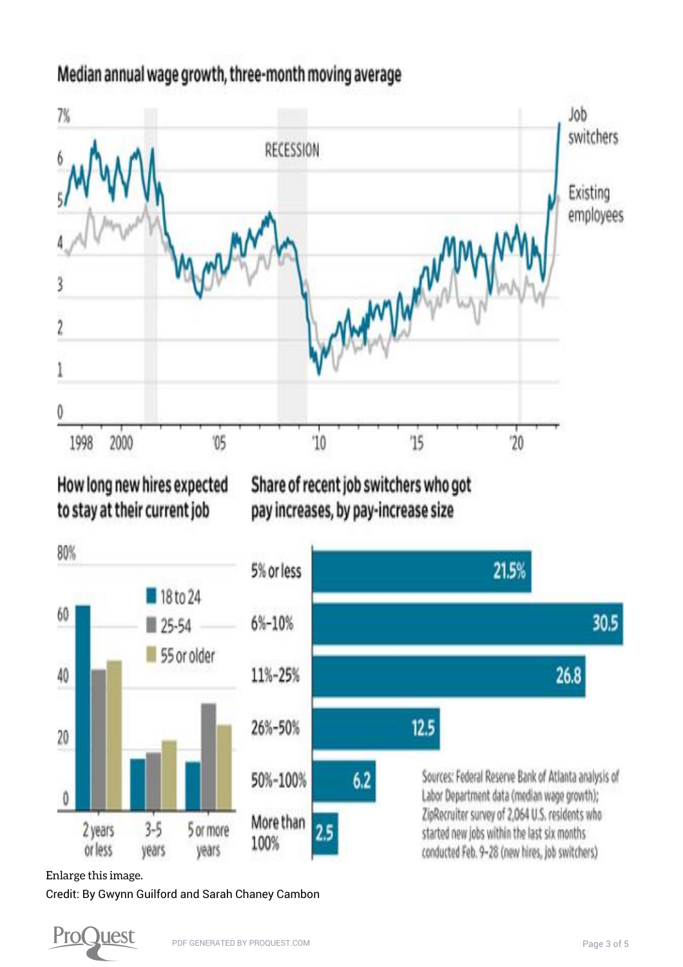

## Median annual wage growth, three-month moving average

How long new hires expected to stay at their current job

Share of recent job switchers who got pay increases, by pay-increase size





[Enlarge this image.](https://www.proquest.comhttps://www.proquest.com/textgraphic/2653983859/fulltextwithgraphics/B8AEC3BF2CA54915PQ/1/1?accountid=44910)

Credit: By Gwynn Guilford and Sarah Chaney Cambon

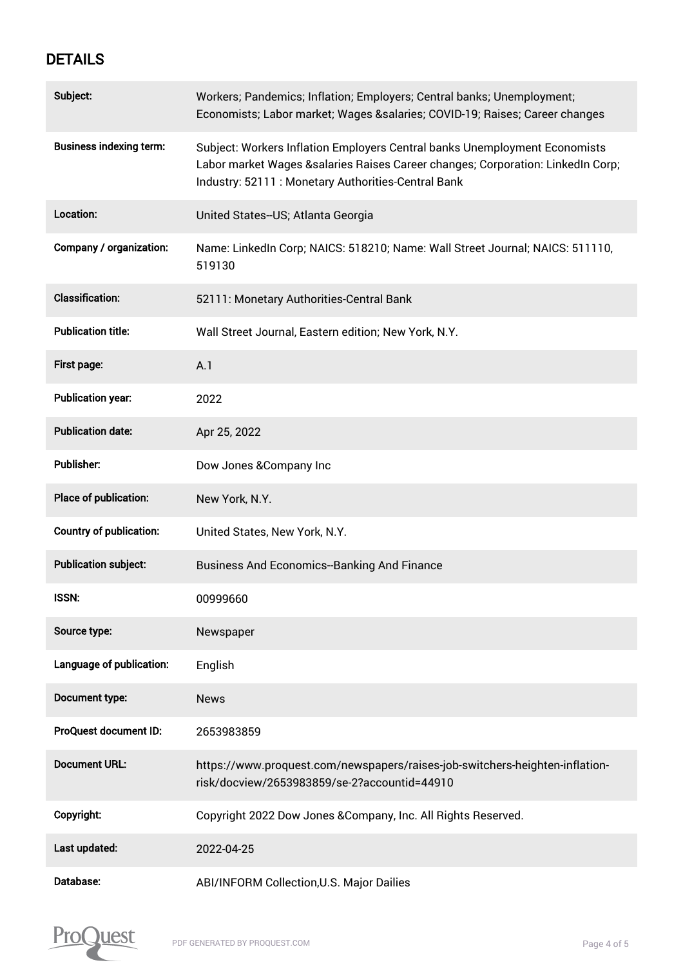## **DETAILS**

| Subject:                       | Workers; Pandemics; Inflation; Employers; Central banks; Unemployment;<br>Economists; Labor market; Wages &salaries COVID-19; Raises; Career changes                                                                 |
|--------------------------------|----------------------------------------------------------------------------------------------------------------------------------------------------------------------------------------------------------------------|
| <b>Business indexing term:</b> | Subject: Workers Inflation Employers Central banks Unemployment Economists<br>Labor market Wages &salaries Raises Career changes; Corporation: LinkedIn Corp;<br>Industry: 52111 : Monetary Authorities-Central Bank |
| Location:                      | United States--US; Atlanta Georgia                                                                                                                                                                                   |
| Company / organization:        | Name: LinkedIn Corp; NAICS: 518210; Name: Wall Street Journal; NAICS: 511110,<br>519130                                                                                                                              |
| <b>Classification:</b>         | 52111: Monetary Authorities-Central Bank                                                                                                                                                                             |
| <b>Publication title:</b>      | Wall Street Journal, Eastern edition; New York, N.Y.                                                                                                                                                                 |
| First page:                    | A.1                                                                                                                                                                                                                  |
| <b>Publication year:</b>       | 2022                                                                                                                                                                                                                 |
| <b>Publication date:</b>       | Apr 25, 2022                                                                                                                                                                                                         |
| <b>Publisher:</b>              | Dow Jones & Company Inc                                                                                                                                                                                              |
| Place of publication:          | New York, N.Y.                                                                                                                                                                                                       |
| <b>Country of publication:</b> | United States, New York, N.Y.                                                                                                                                                                                        |
| <b>Publication subject:</b>    | <b>Business And Economics-Banking And Finance</b>                                                                                                                                                                    |
| <b>ISSN:</b>                   | 00999660                                                                                                                                                                                                             |
| Source type:                   | Newspaper                                                                                                                                                                                                            |
| Language of publication:       | English                                                                                                                                                                                                              |
| Document type:                 | <b>News</b>                                                                                                                                                                                                          |
| ProQuest document ID:          | 2653983859                                                                                                                                                                                                           |
| <b>Document URL:</b>           | https://www.proquest.com/newspapers/raises-job-switchers-heighten-inflation-<br>risk/docview/2653983859/se-2?accountid=44910                                                                                         |
| Copyright:                     | Copyright 2022 Dow Jones & Company, Inc. All Rights Reserved.                                                                                                                                                        |
| Last updated:                  | 2022-04-25                                                                                                                                                                                                           |
| Database:                      | ABI/INFORM Collection, U.S. Major Dailies                                                                                                                                                                            |

![](_page_3_Picture_2.jpeg)